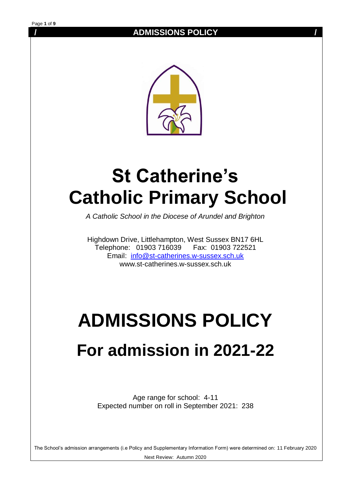

# **St Catherine's Catholic Primary School**

*A Catholic School in the Diocese of Arundel and Brighton*

Highdown Drive, Littlehampton, West Sussex BN17 6HL Telephone: 01903 716039 Fax: 01903 722521 Email: [info@st-catherines.w-sussex.sch.uk](mailto:info@st-catherines.w-sussex.sch.uk)  www.st-catherines.w-sussex.sch.uk

# **ADMISSIONS POLICY**

# **For admission in 2021-22**

Age range for school: 4-11 Expected number on roll in September 2021: 238

The School's admission arrangements (i.e Policy and Supplementary Information Form) were determined on: 11 February 2020 Next Review: Autumn 2020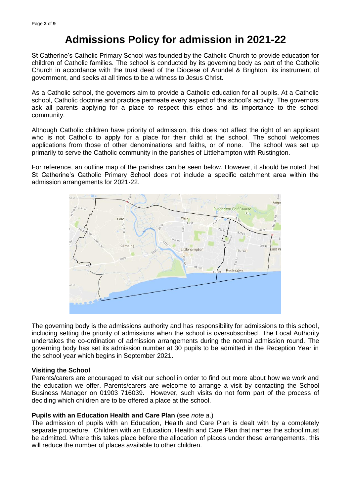## **Admissions Policy for admission in 2021-22**

St Catherine's Catholic Primary School was founded by the Catholic Church to provide education for children of Catholic families. The school is conducted by its governing body as part of the Catholic Church in accordance with the trust deed of the Diocese of Arundel & Brighton, its instrument of government, and seeks at all times to be a witness to Jesus Christ.

As a Catholic school, the governors aim to provide a Catholic education for all pupils. At a Catholic school, Catholic doctrine and practice permeate every aspect of the school's activity. The governors ask all parents applying for a place to respect this ethos and its importance to the school community.

Although Catholic children have priority of admission, this does not affect the right of an applicant who is not Catholic to apply for a place for their child at the school. The school welcomes applications from those of other denominations and faiths, or of none. The school was set up primarily to serve the Catholic community in the parishes of Littlehampton with Rustington.

For reference, an outline map of the parishes can be seen below. However, it should be noted that St Catherine's Catholic Primary School does not include a specific catchment area within the admission arrangements for 2021-22.



The governing body is the admissions authority and has responsibility for admissions to this school, including setting the priority of admissions when the school is oversubscribed. The Local Authority undertakes the co-ordination of admission arrangements during the normal admission round. The governing body has set its admission number at 30 pupils to be admitted in the Reception Year in the school year which begins in September 2021.

#### **Visiting the School**

Parents/carers are encouraged to visit our school in order to find out more about how we work and the education we offer. Parents/carers are welcome to arrange a visit by contacting the School Business Manager on 01903 716039. However, such visits do not form part of the process of deciding which children are to be offered a place at the school.

#### **Pupils with an Education Health and Care Plan** (see *note a*.)

The admission of pupils with an Education, Health and Care Plan is dealt with by a completely separate procedure. Children with an Education, Health and Care Plan that names the school must be admitted. Where this takes place before the allocation of places under these arrangements, this will reduce the number of places available to other children.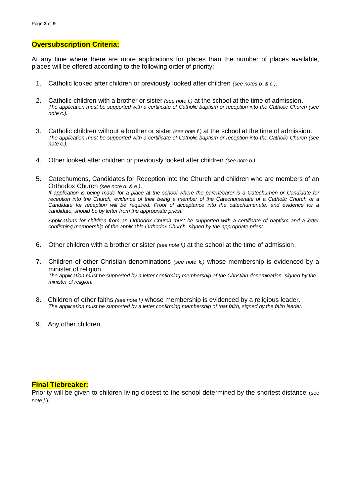#### **Oversubscription Criteria:**

At any time where there are more applications for places than the number of places available, places will be offered according to the following order of priority:

- 1. Catholic looked after children or previously looked after children *(see notes b. & c.)*.
- 2. Catholic children with a brother or sister *(see note f.)* at the school at the time of admission. *The application must be supported with a certificate of Catholic baptism or reception into the Catholic Church (see note c.).*
- 3. Catholic children without a brother or sister *(see note f.)* at the school at the time of admission. *The application must be supported with a certificate of Catholic baptism or reception into the Catholic Church (see note c.).*
- 4. Other looked after children or previously looked after children *(see note b.)*.
- 5. Catechumens, Candidates for Reception into the Church and children who are members of an Orthodox Church *(see note d. & e.)*. *If application is being made for a place at the school where the parent/carer is a Catechumen or Candidate for reception into the Church, evidence of their being a member of the Catechumenate of a Catholic Church or a Candidate for reception will be required. Proof of acceptance into the catechumenate, and evidence for a candidate, should be by letter from the appropriate priest.*

*Applications for children from an Orthodox Church must be supported with a certificate of baptism and a letter confirming membership of the applicable Orthodox Church, signed by the appropriate priest.*

- 6. Other children with a brother or sister *(see note f.)* at the school at the time of admission.
- 7. Children of other Christian denominations *(see note k.)* whose membership is evidenced by a minister of religion. *The application must be supported by a letter confirming membership of the Christian denomination, signed by the minister of religion.*
- 8. Children of other faiths *(see note l.)* whose membership is evidenced by a religious leader. *The application must be supported by a letter confirming membership of that faith, signed by the faith leader.*
- 9. Any other children.

#### **Final Tiebreaker:**

Priority will be given to children living closest to the school determined by the shortest distance (see *note j*.).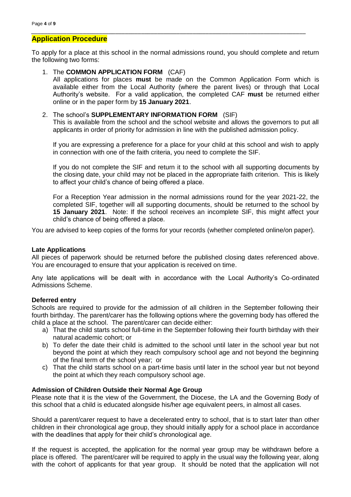#### **Application Procedure**

To apply for a place at this school in the normal admissions round, you should complete and return the following two forms:

*\_\_\_\_\_\_\_\_\_\_\_\_\_\_\_\_\_\_\_\_\_\_\_\_\_\_\_\_\_\_\_\_\_\_\_\_\_\_\_\_\_\_\_\_\_\_\_\_\_\_\_\_\_\_\_\_\_\_\_\_\_\_\_\_\_\_\_\_\_\_\_\_\_\_\_\_\_\_\_\_\_\_\_\_\_*

#### 1. The **COMMON APPLICATION FORM** (CAF)

All applications for places **must** be made on the Common Application Form which is available either from the Local Authority (where the parent lives) or through that Local Authority's website. For a valid application, the completed CAF **must** be returned either online or in the paper form by **15 January 2021**.

#### 2. The school's **SUPPLEMENTARY INFORMATION FORM** (SIF)

This is available from the school and the school website and allows the governors to put all applicants in order of priority for admission in line with the published admission policy.

If you are expressing a preference for a place for your child at this school and wish to apply in connection with one of the faith criteria, you need to complete the SIF.

If you do not complete the SIF and return it to the school with all supporting documents by the closing date, your child may not be placed in the appropriate faith criterion. This is likely to affect your child's chance of being offered a place.

For a Reception Year admission in the normal admissions round for the year 2021-22, the completed SIF, together will all supporting documents, should be returned to the school by **15 January 2021**. Note: If the school receives an incomplete SIF, this might affect your child's chance of being offered a place.

You are advised to keep copies of the forms for your records (whether completed online/on paper).

#### **Late Applications**

All pieces of paperwork should be returned before the published closing dates referenced above. You are encouraged to ensure that your application is received on time.

Any late applications will be dealt with in accordance with the Local Authority's Co-ordinated Admissions Scheme.

#### **Deferred entry**

Schools are required to provide for the admission of all children in the September following their fourth birthday. The parent/carer has the following options where the governing body has offered the child a place at the school. The parent/carer can decide either:

- a) That the child starts school full-time in the September following their fourth birthday with their natural academic cohort; or
- b) To defer the date their child is admitted to the school until later in the school year but not beyond the point at which they reach compulsory school age and not beyond the beginning of the final term of the school year; or
- c) That the child starts school on a part-time basis until later in the school year but not beyond the point at which they reach compulsory school age.

#### **Admission of Children Outside their Normal Age Group**

Please note that it is the view of the Government, the Diocese, the LA and the Governing Body of this school that a child is educated alongside his/her age equivalent peers, in almost all cases.

Should a parent/carer request to have a decelerated entry to school, that is to start later than other children in their chronological age group, they should initially apply for a school place in accordance with the deadlines that apply for their child's chronological age.

If the request is accepted, the application for the normal year group may be withdrawn before a place is offered. The parent/carer will be required to apply in the usual way the following year, along with the cohort of applicants for that year group. It should be noted that the application will not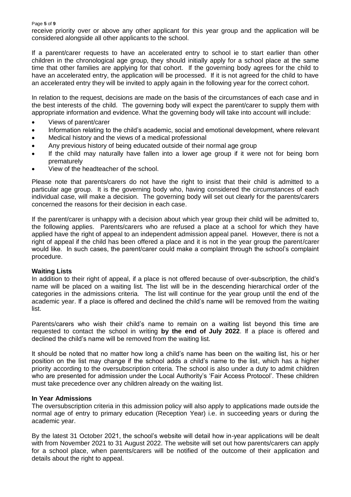receive priority over or above any other applicant for this year group and the application will be considered alongside all other applicants to the school.

If a parent/carer requests to have an accelerated entry to school ie to start earlier than other children in the chronological age group, they should initially apply for a school place at the same time that other families are applying for that cohort. If the governing body agrees for the child to have an accelerated entry, the application will be processed. If it is not agreed for the child to have an accelerated entry they will be invited to apply again in the following year for the correct cohort.

In relation to the request, decisions are made on the basis of the circumstances of each case and in the best interests of the child. The governing body will expect the parent/carer to supply them with appropriate information and evidence. What the governing body will take into account will include:

- Views of parent/carer
- Information relating to the child's academic, social and emotional development, where relevant
- Medical history and the views of a medical professional
- Any previous history of being educated outside of their normal age group
- If the child may naturally have fallen into a lower age group if it were not for being born prematurely
- View of the headteacher of the school.

Please note that parents/carers do not have the right to insist that their child is admitted to a particular age group. It is the governing body who, having considered the circumstances of each individual case, will make a decision. The governing body will set out clearly for the parents/carers concerned the reasons for their decision in each case.

If the parent/carer is unhappy with a decision about which year group their child will be admitted to, the following applies. Parents/carers who are refused a place at a school for which they have applied have the right of appeal to an independent admission appeal panel. However, there is not a right of appeal if the child has been offered a place and it is not in the year group the parent/carer would like. In such cases, the parent/carer could make a complaint through the school's complaint procedure.

#### **Waiting Lists**

In addition to their right of appeal, if a place is not offered because of over-subscription, the child's name will be placed on a waiting list. The list will be in the descending hierarchical order of the categories in the admissions criteria. The list will continue for the year group until the end of the academic year. If a place is offered and declined the child's name will be removed from the waiting list.

Parents/carers who wish their child's name to remain on a waiting list beyond this time are requested to contact the school in writing **by the end of July 2022**. If a place is offered and declined the child's name will be removed from the waiting list.

It should be noted that no matter how long a child's name has been on the waiting list, his or her position on the list may change if the school adds a child's name to the list, which has a higher priority according to the oversubscription criteria. The school is also under a duty to admit children who are presented for admission under the Local Authority's 'Fair Access Protocol'. These children must take precedence over any children already on the waiting list.

#### **In Year Admissions**

The oversubscription criteria in this admission policy will also apply to applications made outside the normal age of entry to primary education (Reception Year) i.e. in succeeding years or during the academic year.

By the latest 31 October 2021, the school's website will detail how in-year applications will be dealt with from November 2021 to 31 August 2022. The website will set out how parents/carers can apply for a school place, when parents/carers will be notified of the outcome of their application and details about the right to appeal.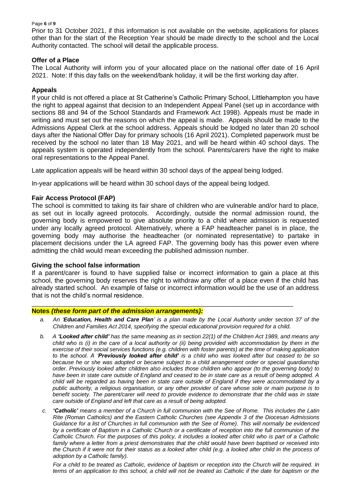#### Page **6** of **9**

Prior to 31 October 2021, if this information is not available on the website, applications for places other than for the start of the Reception Year should be made directly to the school and the Local Authority contacted. The school will detail the applicable process.

#### **Offer of a Place**

The Local Authority will inform you of your allocated place on the national offer date of 16 April 2021. Note: If this day falls on the weekend/bank holiday, it will be the first working day after.

#### **Appeals**

If your child is not offered a place at St Catherine's Catholic Primary School, Littlehampton you have the right to appeal against that decision to an Independent Appeal Panel (set up in accordance with sections 88 and 94 of the School Standards and Framework Act 1998). Appeals must be made in writing and must set out the reasons on which the appeal is made. Appeals should be made to the Admissions Appeal Clerk at the school address. Appeals should be lodged no later than 20 school days after the National Offer Day for primary schools (16 April 2021). Completed paperwork must be received by the school no later than 18 May 2021, and will be heard within 40 school days. The appeals system is operated independently from the school. Parents/carers have the right to make oral representations to the Appeal Panel.

Late application appeals will be heard within 30 school days of the appeal being lodged.

In-year applications will be heard within 30 school days of the appeal being lodged.

#### **Fair Access Protocol (FAP)**

The school is committed to taking its fair share of children who are vulnerable and/or hard to place, as set out in locally agreed protocols. Accordingly, outside the normal admission round, the governing body is empowered to give absolute priority to a child where admission is requested under any locally agreed protocol. Alternatively, where a FAP headteacher panel is in place, the governing body may authorise the headteacher (or nominated representative) to partake in placement decisions under the LA agreed FAP. The governing body has this power even where admitting the child would mean exceeding the published admission number.

#### **Giving the school false information**

If a parent/carer is found to have supplied false or incorrect information to gain a place at this school, the governing body reserves the right to withdraw any offer of a place even if the child has already started school. An example of false or incorrect information would be the use of an address that is not the child's normal residence.

\_\_\_\_\_\_\_\_\_\_\_\_\_\_\_\_\_\_\_\_\_\_\_\_\_\_\_\_\_\_\_\_\_\_\_\_\_\_\_\_\_\_\_\_\_\_\_\_\_\_\_\_\_\_\_\_\_\_\_\_\_\_\_\_\_\_\_\_\_\_\_\_\_\_\_\_\_\_\_\_\_

#### **Notes** *(these form part of the admission arrangements):*

- *a. An 'Education, Health and Care Plan' is a plan made by the Local Authority under section 37 of the Children and Families Act 2014, specifying the special educational provision required for a child.*
- *b. A 'Looked after child' has the same meaning as in section 22(1) of the Children Act 1989, and means any child who is (i) in the care of a local authority or (ii) being provided with accommodation by them in the exercise of their social services functions (e.g. children with foster parents) at the time of making application to the school. A 'Previously looked after child' is a child who was looked after but ceased to be so because he or she was adopted or became subject to a child arrangement order or special guardianship order. Previously looked after children also includes those children who appear (to the governing body) to have been in state care outside of England and ceased to be in state care as a result of being adopted. A child will be regarded as having been in state care outside of England if they were accommodated by a public authority, a religious organisation, or any other provider of care whose sole or main purpose is to benefit society. The parent/carer will need to provide evidence to demonstrate that the child was in state care outside of England and left that care as a result of being adopted.*
- *c. 'Catholic' means a member of a Church in full communion with the See of Rome. This includes the Latin Rite (Roman Catholics) and the Eastern Catholic Churches (see Appendix 3 of the Diocesan Admissions Guidance for a list of Churches in full communion with the See of Rome). This will normally be evidenced by a certificate of Baptism in a Catholic Church or a certificate of reception into the full communion of the Catholic Church. For the purposes of this policy, it includes a looked after child who is part of a Catholic*  family where a letter from a priest demonstrates that the child would have been baptised or received into *the Church if it were not for their status as a looked after child (e.g. a looked after child in the process of adoption by a Catholic family).*

*For a child to be treated as Catholic, evidence of baptism or reception into the Church will be required. In terms of an application to this school, a child will not be treated as Catholic if the date for baptism or the*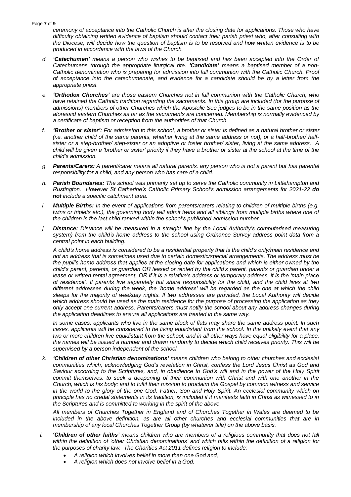Page **7** of **9**

*ceremony of acceptance into the Catholic Church is after the closing date for applications. Those who have difficulty obtaining written evidence of baptism should contact their parish priest who, after consulting with the Diocese, will decide how the question of baptism is to be resolved and how written evidence is to be produced in accordance with the laws of the Church.* 

- *d. 'Catechumen' means a person who wishes to be baptised and has been accepted into the Order of Catechumens through the appropriate liturgical rite. 'Candidate' means a baptised member of a non-Catholic denomination who is preparing for admission into full communion with the Catholic Church. Proof of acceptance into the catechumenate, and evidence for a candidate should be by a letter from the appropriate priest.*
- *e. 'Orthodox Churches' are those eastern Churches not in full communion with the Catholic Church, who have retained the Catholic tradition regarding the sacraments. In this group are included (for the purpose of admissions) members of other Churches which the Apostolic See judges to be in the same position as the aforesaid eastern Churches as far as the sacraments are concerned. Membership is normally evidenced by a certificate of baptism or reception from the authorities of that Church.*
- *f. 'Brother or sister': For admission to this school, a brother or sister is defined as a natural brother or sister (i.e. another child of the same parents, whether living at the same address or not), or a half-brother/ halfsister or a step-brother/ step-sister or an adoptive or foster brother/ sister, living at the same address. A child will be given a 'brother or sister' priority if they have a brother or sister at the school at the time of the child's admission.*
- *g. Parents/Carers: A parent/carer means all natural parents, any person who is not a parent but has parental responsibility for a child, and any person who has care of a child.*
- *h. Parish Boundaries: The school was primarily set up to serve the Catholic community in Littlehampton and Rustington. However St Catherine's Catholic Primary School's admission arrangements for 2021-22 do not include a specific catchment area.*
- *i. Multiple Births: In the event of applications from parents/carers relating to children of multiple births (e.g. twins or triplets etc.), the governing body will admit twins and all siblings from multiple births where one of the children is the last child ranked within the school's published admission number.*
- *j. Distance: Distance will be measured in a straight line by the Local Authority's computerised measuring system) from the child's home address to the school using Ordnance Survey address point data from a central point in each building.*

*A child's home address is considered to be a residential property that is the child's only/main residence and not an address that is sometimes used due to certain domestic/special arrangements. The address must be the pupil's home address that applies at the closing date for applications and which is either owned by the child's parent, parents, or guardian OR leased or rented by the child's parent, parents or guardian under a*  lease or written rental agreement, OR if it is a relative's address or temporary address, it is the 'main place *of residence'. If parents live separately but share responsibility for the child, and the child lives at two different addresses during the week, the 'home address' will be regarded as the one at which the child sleeps for the majority of weekday nights. If two addresses are provided, the Local Authority will decide which address should be used as the main residence for the purpose of processing the application as they only accept one current address. Parents/carers must notify the school about any address changes during the application deadlines to ensure all applications are treated in the same way.*

*In some cases, applicants who live in the same block of flats may share the same address point. In such cases, applicants will be considered to be living equidistant from the school. In the unlikely event that any two or more children live equidistant from the school, and in all other ways have equal eligibility for a place, the names will be issued a number and drawn randomly to decide which child receives priority. This will be supervised by a person independent of the school.*

*k. 'Children of other Christian denominations' means children who belong to other churches and ecclesial communities which, acknowledging God's revelation in Christ, confess the Lord Jesus Christ as God and Saviour according to the Scriptures, and, in obedience to God's will and in the power of the Holy Spirit*  commit themselves: to seek a deepening of their communion with Christ and with one another in the *Church, which is his body; and to fulfil their mission to proclaim the Gospel by common witness and service*  in the world to the glory of the one God, Father, Son and Holy Spirit. An ecclesial community which on *principle has no credal statements in its tradition, is included if it manifests faith in Christ as witnessed to in the Scriptures and is committed to working in the spirit of the above.* 

*All members of Churches Together in England and of Churches Together in Wales are deemed to be included in the above definition, as are all other churches and ecclesial communities that are in membership of any local Churches Together Group (by whatever title) on the above basis.*

- *l. 'Children of other faiths' means children who are members of a religious community that does not fall within the definition of 'other Christian denominations' and which falls within the definition of a religion for the purposes of charity law. The Charities Act 2011 defines religion to include:*
	- *A religion which involves belief in more than one God and,*
	- *A religion which does not involve belief in a God.*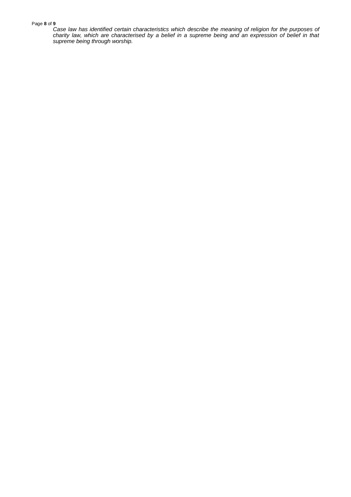#### Page **8** of **9**

*Case law has identified certain characteristics which describe the meaning of religion for the purposes of charity law, which are characterised by a belief in a supreme being and an expression of belief in that supreme being through worship.*